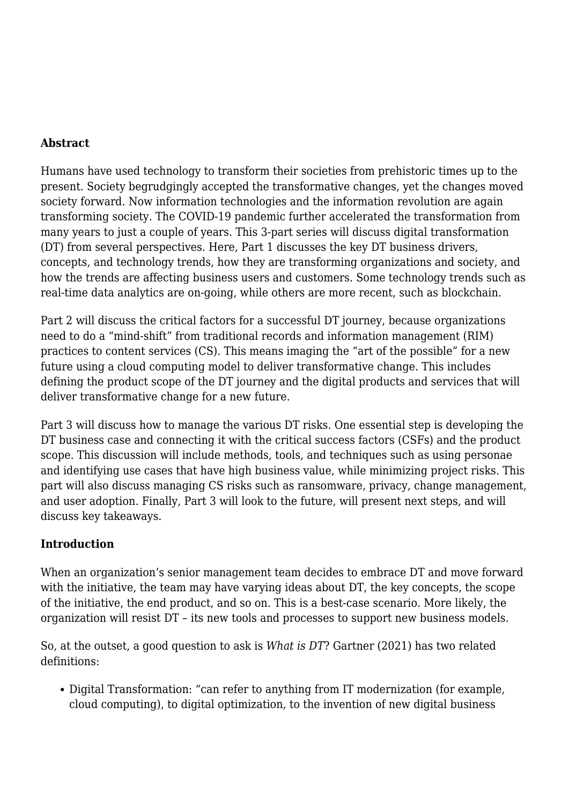#### **Abstract**

Humans have used technology to transform their societies from prehistoric times up to the present. Society begrudgingly accepted the transformative changes, yet the changes moved society forward. Now information technologies and the information revolution are again transforming society. The COVID-19 pandemic further accelerated the transformation from many years to just a couple of years. This 3-part series will discuss digital transformation (DT) from several perspectives. Here, Part 1 discusses the key DT business drivers, concepts, and technology trends, how they are transforming organizations and society, and how the trends are affecting business users and customers. Some technology trends such as real-time data analytics are on-going, while others are more recent, such as blockchain.

Part 2 will discuss the critical factors for a successful DT journey, because organizations need to do a "mind-shift" from traditional records and information management (RIM) practices to content services (CS). This means imaging the "art of the possible" for a new future using a cloud computing model to deliver transformative change. This includes defining the product scope of the DT journey and the digital products and services that will deliver transformative change for a new future.

Part 3 will discuss how to manage the various DT risks. One essential step is developing the DT business case and connecting it with the critical success factors (CSFs) and the product scope. This discussion will include methods, tools, and techniques such as using personae and identifying use cases that have high business value, while minimizing project risks. This part will also discuss managing CS risks such as ransomware, privacy, change management, and user adoption. Finally, Part 3 will look to the future, will present next steps, and will discuss key takeaways.

#### **Introduction**

When an organization's senior management team decides to embrace DT and move forward with the initiative, the team may have varying ideas about DT, the key concepts, the scope of the initiative, the end product, and so on. This is a best-case scenario. More likely, the organization will resist DT – its new tools and processes to support new business models.

So, at the outset, a good question to ask is *What is DT*? Gartner (2021) has two related definitions:

• Digital Transformation: "can refer to anything from IT modernization (for example, cloud computing), to digital optimization, to the invention of new digital business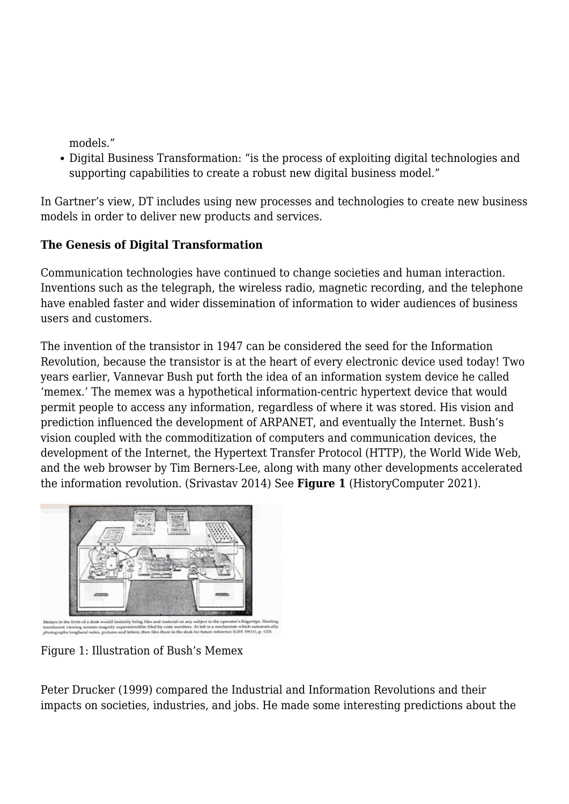models."

Digital Business Transformation: "is the process of exploiting digital technologies and supporting capabilities to create a robust new digital business model."

In Gartner's view, DT includes using new processes and technologies to create new business models in order to deliver new products and services.

## **The Genesis of Digital Transformation**

Communication technologies have continued to change societies and human interaction. Inventions such as the telegraph, the wireless radio, magnetic recording, and the telephone have enabled faster and wider dissemination of information to wider audiences of business users and customers.

The invention of the transistor in 1947 can be considered the seed for the Information Revolution, because the transistor is at the heart of every electronic device used today! Two years earlier, Vannevar Bush put forth the idea of an information system device he called 'memex.' The memex was a hypothetical information-centric hypertext device that would permit people to access any information, regardless of where it was stored. His vision and prediction influenced the development of ARPANET, and eventually the Internet. Bush's vision coupled with the commoditization of computers and communication devices, the development of the Internet, the Hypertext Transfer Protocol (HTTP), the World Wide Web, and the web browser by Tim Berners-Lee, along with many other developments accelerated the information revolution. (Srivastav 2014) See **Figure 1** (HistoryComputer 2021).



Figure 1: Illustration of Bush's Memex

Peter Drucker (1999) compared the Industrial and Information Revolutions and their impacts on societies, industries, and jobs. He made some interesting predictions about the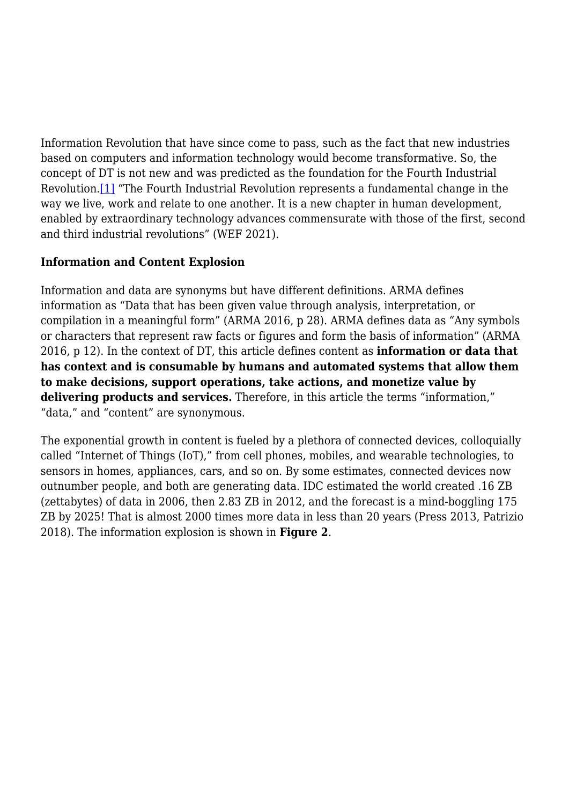Information Revolution that have since come to pass, such as the fact that new industries based on computers and information technology would become transformative. So, the concept of DT is not new and was predicted as the foundation for the Fourth Industrial Revolution.[\[1\]](#page--1-0) "The Fourth Industrial Revolution represents a fundamental change in the way we live, work and relate to one another. It is a new chapter in human development, enabled by extraordinary technology advances commensurate with those of the first, second and third industrial revolutions" (WEF 2021).

#### **Information and Content Explosion**

Information and data are synonyms but have different definitions. ARMA defines information as "Data that has been given value through analysis, interpretation, or compilation in a meaningful form" (ARMA 2016, p 28). ARMA defines data as "Any symbols or characters that represent raw facts or figures and form the basis of information" (ARMA 2016, p 12). In the context of DT, this article defines content as **information or data that has context and is consumable by humans and automated systems that allow them to make decisions, support operations, take actions, and monetize value by delivering products and services.** Therefore, in this article the terms "information," "data," and "content" are synonymous.

The exponential growth in content is fueled by a plethora of connected devices, colloquially called "Internet of Things (IoT)," from cell phones, mobiles, and wearable technologies, to sensors in homes, appliances, cars, and so on. By some estimates, connected devices now outnumber people, and both are generating data. IDC estimated the world created .16 ZB (zettabytes) of data in 2006, then 2.83 ZB in 2012, and the forecast is a mind-boggling 175 ZB by 2025! That is almost 2000 times more data in less than 20 years (Press 2013, Patrizio 2018). The information explosion is shown in **Figure 2**.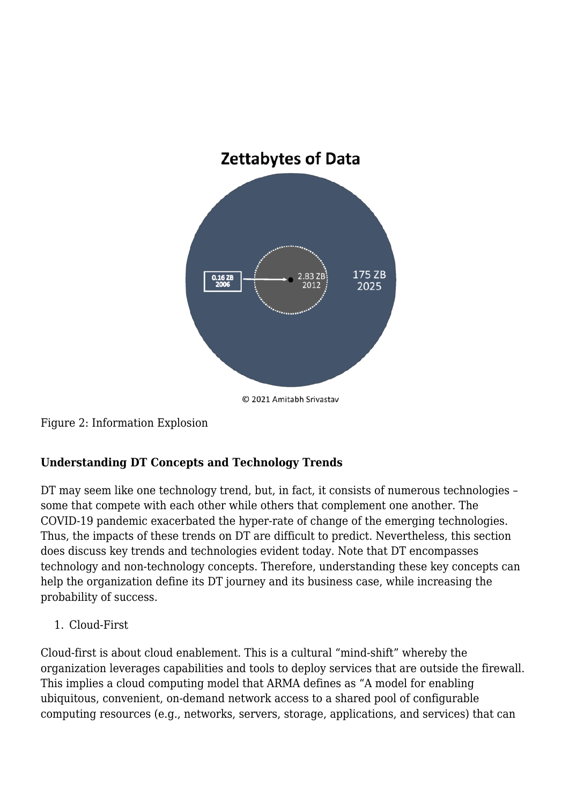

Figure 2: Information Explosion

# **Understanding DT Concepts and Technology Trends**

DT may seem like one technology trend, but, in fact, it consists of numerous technologies – some that compete with each other while others that complement one another. The COVID-19 pandemic exacerbated the hyper-rate of change of the emerging technologies. Thus, the impacts of these trends on DT are difficult to predict. Nevertheless, this section does discuss key trends and technologies evident today. Note that DT encompasses technology and non-technology concepts. Therefore, understanding these key concepts can help the organization define its DT journey and its business case, while increasing the probability of success.

1. Cloud-First

Cloud-first is about cloud enablement. This is a cultural "mind-shift" whereby the organization leverages capabilities and tools to deploy services that are outside the firewall. This implies a cloud computing model that ARMA defines as "A model for enabling ubiquitous, convenient, on-demand network access to a shared pool of configurable computing resources (e.g., networks, servers, storage, applications, and services) that can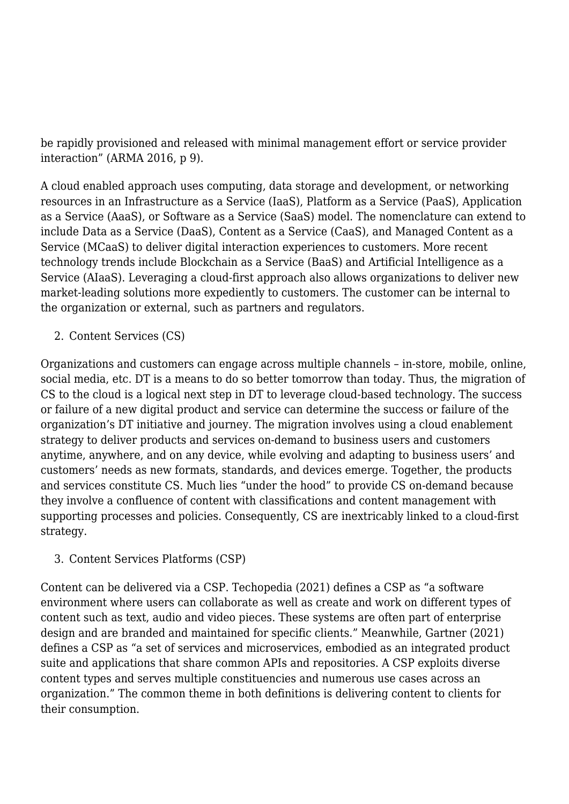be rapidly provisioned and released with minimal management effort or service provider interaction" (ARMA 2016, p 9).

A cloud enabled approach uses computing, data storage and development, or networking resources in an Infrastructure as a Service (IaaS), Platform as a Service (PaaS), Application as a Service (AaaS), or Software as a Service (SaaS) model. The nomenclature can extend to include Data as a Service (DaaS), Content as a Service (CaaS), and Managed Content as a Service (MCaaS) to deliver digital interaction experiences to customers. More recent technology trends include Blockchain as a Service (BaaS) and Artificial Intelligence as a Service (AIaaS). Leveraging a cloud-first approach also allows organizations to deliver new market-leading solutions more expediently to customers. The customer can be internal to the organization or external, such as partners and regulators.

2. Content Services (CS)

Organizations and customers can engage across multiple channels – in-store, mobile, online, social media, etc. DT is a means to do so better tomorrow than today. Thus, the migration of CS to the cloud is a logical next step in DT to leverage cloud-based technology. The success or failure of a new digital product and service can determine the success or failure of the organization's DT initiative and journey. The migration involves using a cloud enablement strategy to deliver products and services on-demand to business users and customers anytime, anywhere, and on any device, while evolving and adapting to business users' and customers' needs as new formats, standards, and devices emerge. Together, the products and services constitute CS. Much lies "under the hood" to provide CS on-demand because they involve a confluence of content with classifications and content management with supporting processes and policies. Consequently, CS are inextricably linked to a cloud-first strategy.

3. Content Services Platforms (CSP)

Content can be delivered via a CSP. Techopedia (2021) defines a CSP as "a software environment where users can collaborate as well as create and work on different types of content such as text, audio and video pieces. These systems are often part of enterprise design and are branded and maintained for specific clients." Meanwhile, Gartner (2021) defines a CSP as "a set of services and microservices, embodied as an integrated product suite and applications that share common APIs and repositories. A CSP exploits diverse content types and serves multiple constituencies and numerous use cases across an organization." The common theme in both definitions is delivering content to clients for their consumption.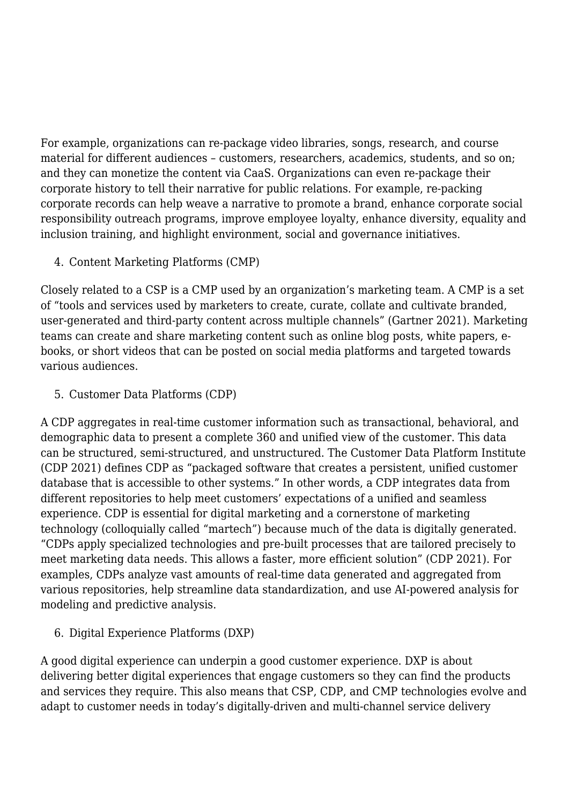For example, organizations can re-package video libraries, songs, research, and course material for different audiences – customers, researchers, academics, students, and so on; and they can monetize the content via CaaS. Organizations can even re-package their corporate history to tell their narrative for public relations. For example, re-packing corporate records can help weave a narrative to promote a brand, enhance corporate social responsibility outreach programs, improve employee loyalty, enhance diversity, equality and inclusion training, and highlight environment, social and governance initiatives.

4. Content Marketing Platforms (CMP)

Closely related to a CSP is a CMP used by an organization's marketing team. A CMP is a set of "tools and services used by marketers to create, curate, collate and cultivate branded, user-generated and third-party content across multiple channels" (Gartner 2021). Marketing teams can create and share marketing content such as online blog posts, white papers, ebooks, or short videos that can be posted on social media platforms and targeted towards various audiences.

5. Customer Data Platforms (CDP)

A CDP aggregates in real-time customer information such as transactional, behavioral, and demographic data to present a complete 360 and unified view of the customer. This data can be structured, semi-structured, and unstructured. The Customer Data Platform Institute (CDP 2021) defines CDP as "packaged software that creates a persistent, unified customer database that is accessible to other systems." In other words, a CDP integrates data from different repositories to help meet customers' expectations of a unified and seamless experience. CDP is essential for digital marketing and a cornerstone of marketing technology (colloquially called "martech") because much of the data is digitally generated. "CDPs apply specialized technologies and pre-built processes that are tailored precisely to meet marketing data needs. This allows a faster, more efficient solution" (CDP 2021). For examples, CDPs analyze vast amounts of real-time data generated and aggregated from various repositories, help streamline data standardization, and use AI-powered analysis for modeling and predictive analysis.

6. Digital Experience Platforms (DXP)

A good digital experience can underpin a good customer experience. DXP is about delivering better digital experiences that engage customers so they can find the products and services they require. This also means that CSP, CDP, and CMP technologies evolve and adapt to customer needs in today's digitally-driven and multi-channel service delivery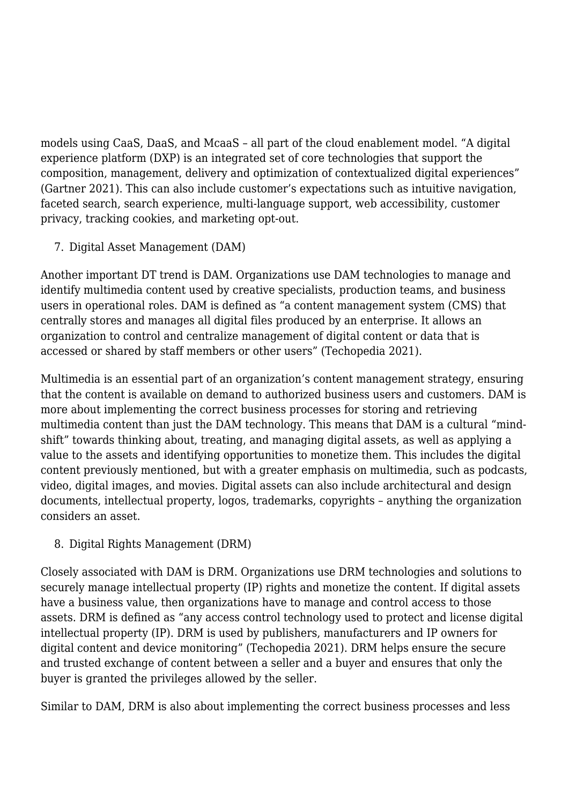models using CaaS, DaaS, and McaaS – all part of the cloud enablement model. "A digital experience platform (DXP) is an integrated set of core technologies that support the composition, management, delivery and optimization of contextualized digital experiences" (Gartner 2021). This can also include customer's expectations such as intuitive navigation, faceted search, search experience, multi-language support, web accessibility, customer privacy, tracking cookies, and marketing opt-out.

7. Digital Asset Management (DAM)

Another important DT trend is DAM. Organizations use DAM technologies to manage and identify multimedia content used by creative specialists, production teams, and business users in operational roles. DAM is defined as "a content management system (CMS) that centrally stores and manages all digital files produced by an enterprise. It allows an organization to control and centralize management of digital content or data that is accessed or shared by staff members or other users" (Techopedia 2021).

Multimedia is an essential part of an organization's content management strategy, ensuring that the content is available on demand to authorized business users and customers. DAM is more about implementing the correct business processes for storing and retrieving multimedia content than just the DAM technology. This means that DAM is a cultural "mindshift" towards thinking about, treating, and managing digital assets, as well as applying a value to the assets and identifying opportunities to monetize them. This includes the digital content previously mentioned, but with a greater emphasis on multimedia, such as podcasts, video, digital images, and movies. Digital assets can also include architectural and design documents, intellectual property, logos, trademarks, copyrights – anything the organization considers an asset.

8. Digital Rights Management (DRM)

Closely associated with DAM is DRM. Organizations use DRM technologies and solutions to securely manage intellectual property (IP) rights and monetize the content. If digital assets have a business value, then organizations have to manage and control access to those assets. DRM is defined as "any access control technology used to protect and license digital intellectual property (IP). DRM is used by publishers, manufacturers and IP owners for digital content and device monitoring" (Techopedia 2021). DRM helps ensure the secure and trusted exchange of content between a seller and a buyer and ensures that only the buyer is granted the privileges allowed by the seller.

Similar to DAM, DRM is also about implementing the correct business processes and less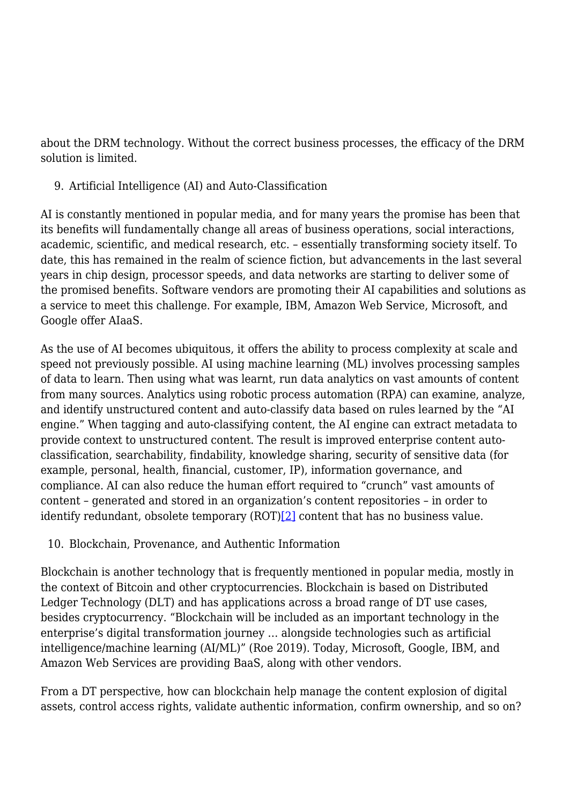about the DRM technology. Without the correct business processes, the efficacy of the DRM solution is limited.

9. Artificial Intelligence (AI) and Auto-Classification

AI is constantly mentioned in popular media, and for many years the promise has been that its benefits will fundamentally change all areas of business operations, social interactions, academic, scientific, and medical research, etc. – essentially transforming society itself. To date, this has remained in the realm of science fiction, but advancements in the last several years in chip design, processor speeds, and data networks are starting to deliver some of the promised benefits. Software vendors are promoting their AI capabilities and solutions as a service to meet this challenge. For example, IBM, Amazon Web Service, Microsoft, and Google offer AIaaS.

As the use of AI becomes ubiquitous, it offers the ability to process complexity at scale and speed not previously possible. AI using machine learning (ML) involves processing samples of data to learn. Then using what was learnt, run data analytics on vast amounts of content from many sources. Analytics using robotic process automation (RPA) can examine, analyze, and identify unstructured content and auto-classify data based on rules learned by the "AI engine." When tagging and auto-classifying content, the AI engine can extract metadata to provide context to unstructured content. The result is improved enterprise content autoclassification, searchability, findability, knowledge sharing, security of sensitive data (for example, personal, health, financial, customer, IP), information governance, and compliance. AI can also reduce the human effort required to "crunch" vast amounts of content – generated and stored in an organization's content repositories – in order to identify redundant, obsolete temporary (ROT[\)\[2\]](#page--1-0) content that has no business value.

## 10. Blockchain, Provenance, and Authentic Information

Blockchain is another technology that is frequently mentioned in popular media, mostly in the context of Bitcoin and other cryptocurrencies. Blockchain is based on Distributed Ledger Technology (DLT) and has applications across a broad range of DT use cases, besides cryptocurrency. "Blockchain will be included as an important technology in the enterprise's digital transformation journey … alongside technologies such as artificial intelligence/machine learning (AI/ML)" (Roe 2019). Today, Microsoft, Google, IBM, and Amazon Web Services are providing BaaS, along with other vendors.

From a DT perspective, how can blockchain help manage the content explosion of digital assets, control access rights, validate authentic information, confirm ownership, and so on?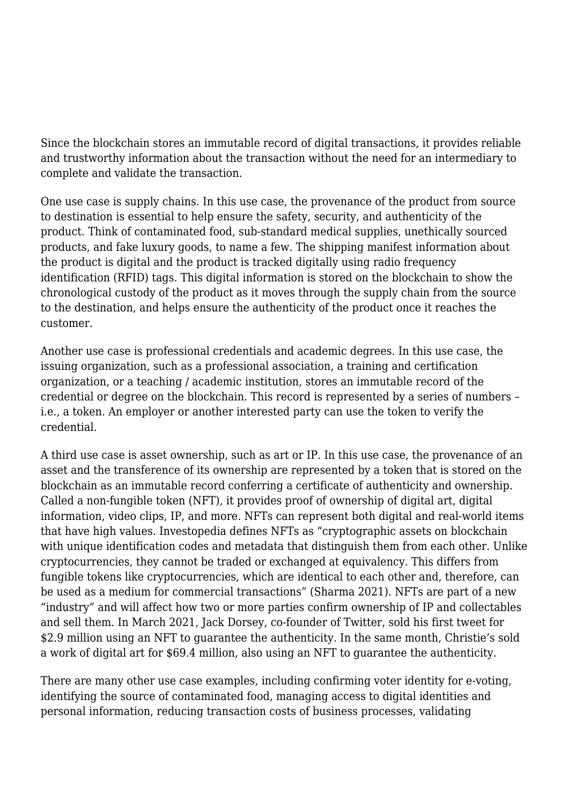Since the blockchain stores an immutable record of digital transactions, it provides reliable and trustworthy information about the transaction without the need for an intermediary to complete and validate the transaction.

One use case is supply chains. In this use case, the provenance of the product from source to destination is essential to help ensure the safety, security, and authenticity of the product. Think of contaminated food, sub-standard medical supplies, unethically sourced products, and fake luxury goods, to name a few. The shipping manifest information about the product is digital and the product is tracked digitally using radio frequency identification (RFID) tags. This digital information is stored on the blockchain to show the chronological custody of the product as it moves through the supply chain from the source to the destination, and helps ensure the authenticity of the product once it reaches the customer.

Another use case is professional credentials and academic degrees. In this use case, the issuing organization, such as a professional association, a training and certification organization, or a teaching / academic institution, stores an immutable record of the credential or degree on the blockchain. This record is represented by a series of numbers – i.e., a token. An employer or another interested party can use the token to verify the credential.

A third use case is asset ownership, such as art or IP. In this use case, the provenance of an asset and the transference of its ownership are represented by a token that is stored on the blockchain as an immutable record conferring a certificate of authenticity and ownership. Called a non-fungible token (NFT), it provides proof of ownership of digital art, digital information, video clips, IP, and more. NFTs can represent both digital and real-world items that have high values. Investopedia defines NFTs as "cryptographic assets on blockchain with unique identification codes and metadata that distinguish them from each other. Unlike cryptocurrencies, they cannot be traded or exchanged at equivalency. This differs from fungible tokens like cryptocurrencies, which are identical to each other and, therefore, can be used as a medium for commercial transactions" (Sharma 2021). NFTs are part of a new "industry" and will affect how two or more parties confirm ownership of IP and collectables and sell them. In March 2021, Jack Dorsey, co-founder of Twitter, sold his first tweet for \$2.9 million using an NFT to guarantee the authenticity. In the same month, Christie's sold a work of digital art for \$69.4 million, also using an NFT to guarantee the authenticity.

There are many other use case examples, including confirming voter identity for e-voting, identifying the source of contaminated food, managing access to digital identities and personal information, reducing transaction costs of business processes, validating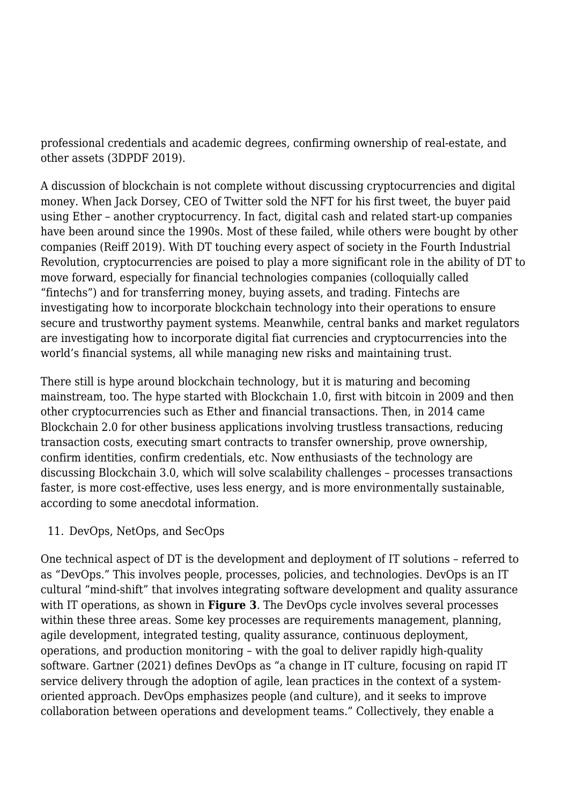professional credentials and academic degrees, confirming ownership of real-estate, and other assets (3DPDF 2019).

A discussion of blockchain is not complete without discussing cryptocurrencies and digital money. When Jack Dorsey, CEO of Twitter sold the NFT for his first tweet, the buyer paid using Ether – another cryptocurrency. In fact, digital cash and related start-up companies have been around since the 1990s. Most of these failed, while others were bought by other companies (Reiff 2019). With DT touching every aspect of society in the Fourth Industrial Revolution, cryptocurrencies are poised to play a more significant role in the ability of DT to move forward, especially for financial technologies companies (colloquially called "fintechs") and for transferring money, buying assets, and trading. Fintechs are investigating how to incorporate blockchain technology into their operations to ensure secure and trustworthy payment systems. Meanwhile, central banks and market regulators are investigating how to incorporate digital fiat currencies and cryptocurrencies into the world's financial systems, all while managing new risks and maintaining trust.

There still is hype around blockchain technology, but it is maturing and becoming mainstream, too. The hype started with Blockchain 1.0, first with bitcoin in 2009 and then other cryptocurrencies such as Ether and financial transactions. Then, in 2014 came Blockchain 2.0 for other business applications involving trustless transactions, reducing transaction costs, executing smart contracts to transfer ownership, prove ownership, confirm identities, confirm credentials, etc. Now enthusiasts of the technology are discussing Blockchain 3.0, which will solve scalability challenges – processes transactions faster, is more cost-effective, uses less energy, and is more environmentally sustainable, according to some anecdotal information.

#### 11. DevOps, NetOps, and SecOps

One technical aspect of DT is the development and deployment of IT solutions – referred to as "DevOps." This involves people, processes, policies, and technologies. DevOps is an IT cultural "mind-shift" that involves integrating software development and quality assurance with IT operations, as shown in **Figure 3**. The DevOps cycle involves several processes within these three areas. Some key processes are requirements management, planning, agile development, integrated testing, quality assurance, continuous deployment, operations, and production monitoring – with the goal to deliver rapidly high-quality software. Gartner (2021) defines DevOps as "a change in IT culture, focusing on rapid IT service delivery through the adoption of agile, lean practices in the context of a systemoriented approach. DevOps emphasizes people (and culture), and it seeks to improve collaboration between operations and development teams." Collectively, they enable a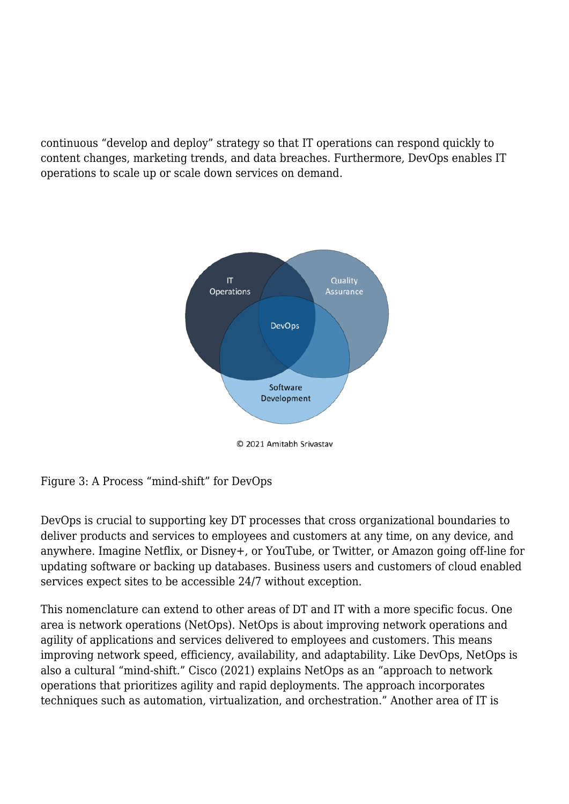continuous "develop and deploy" strategy so that IT operations can respond quickly to content changes, marketing trends, and data breaches. Furthermore, DevOps enables IT operations to scale up or scale down services on demand.



Figure 3: A Process "mind-shift" for DevOps

DevOps is crucial to supporting key DT processes that cross organizational boundaries to deliver products and services to employees and customers at any time, on any device, and anywhere. Imagine Netflix, or Disney+, or YouTube, or Twitter, or Amazon going off-line for updating software or backing up databases. Business users and customers of cloud enabled services expect sites to be accessible 24/7 without exception.

This nomenclature can extend to other areas of DT and IT with a more specific focus. One area is network operations (NetOps). NetOps is about improving network operations and agility of applications and services delivered to employees and customers. This means improving network speed, efficiency, availability, and adaptability. Like DevOps, NetOps is also a cultural "mind-shift." Cisco (2021) explains NetOps as an "approach to network operations that prioritizes agility and rapid deployments. The approach incorporates techniques such as automation, virtualization, and orchestration." Another area of IT is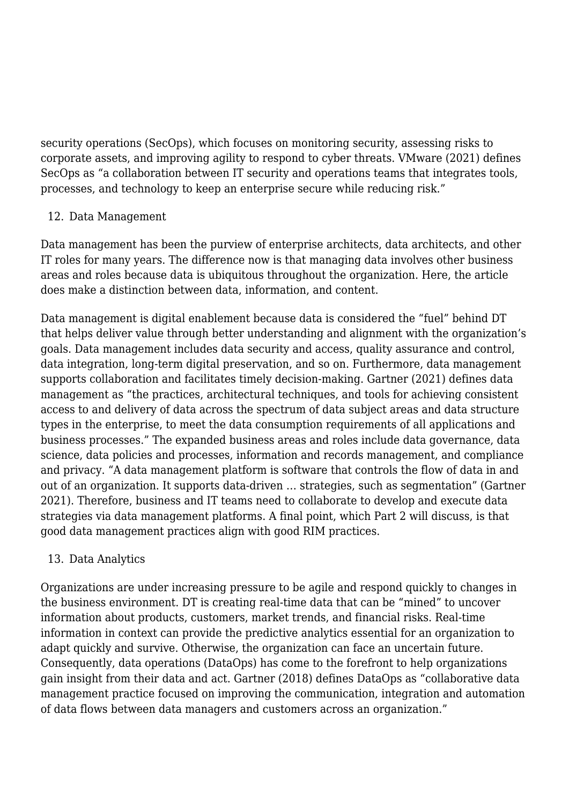security operations (SecOps), which focuses on monitoring security, assessing risks to corporate assets, and improving agility to respond to cyber threats. VMware (2021) defines SecOps as "a collaboration between IT security and operations teams that integrates tools, processes, and technology to keep an enterprise secure while reducing risk."

#### 12. Data Management

Data management has been the purview of enterprise architects, data architects, and other IT roles for many years. The difference now is that managing data involves other business areas and roles because data is ubiquitous throughout the organization. Here, the article does make a distinction between data, information, and content.

Data management is digital enablement because data is considered the "fuel" behind DT that helps deliver value through better understanding and alignment with the organization's goals. Data management includes data security and access, quality assurance and control, data integration, long-term digital preservation, and so on. Furthermore, data management supports collaboration and facilitates timely decision-making. Gartner (2021) defines data management as "the practices, architectural techniques, and tools for achieving consistent access to and delivery of data across the spectrum of data subject areas and data structure types in the enterprise, to meet the data consumption requirements of all applications and business processes." The expanded business areas and roles include data governance, data science, data policies and processes, information and records management, and compliance and privacy. "A data management platform is software that controls the flow of data in and out of an organization. It supports data-driven … strategies, such as segmentation" (Gartner 2021). Therefore, business and IT teams need to collaborate to develop and execute data strategies via data management platforms. A final point, which Part 2 will discuss, is that good data management practices align with good RIM practices.

## 13. Data Analytics

Organizations are under increasing pressure to be agile and respond quickly to changes in the business environment. DT is creating real-time data that can be "mined" to uncover information about products, customers, market trends, and financial risks. Real-time information in context can provide the predictive analytics essential for an organization to adapt quickly and survive. Otherwise, the organization can face an uncertain future. Consequently, data operations (DataOps) has come to the forefront to help organizations gain insight from their data and act. Gartner (2018) defines DataOps as "collaborative data management practice focused on improving the communication, integration and automation of data flows between data managers and customers across an organization."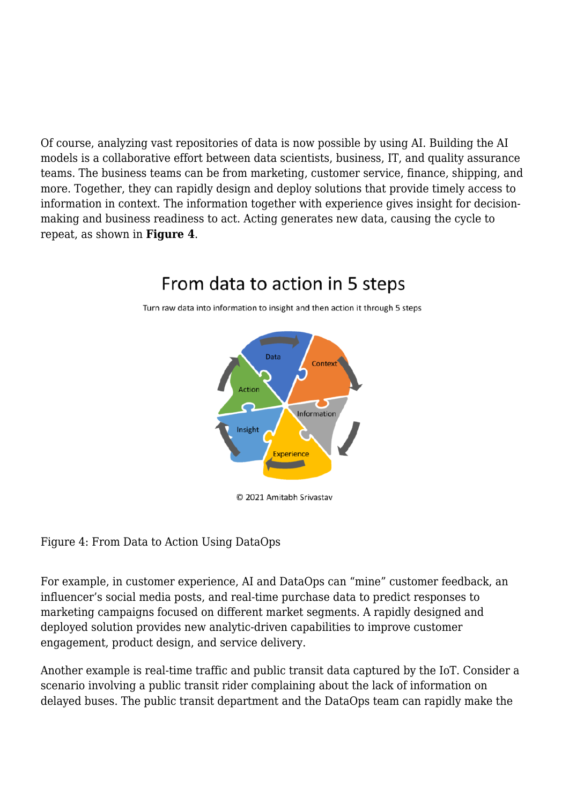Of course, analyzing vast repositories of data is now possible by using AI. Building the AI models is a collaborative effort between data scientists, business, IT, and quality assurance teams. The business teams can be from marketing, customer service, finance, shipping, and more. Together, they can rapidly design and deploy solutions that provide timely access to information in context. The information together with experience gives insight for decisionmaking and business readiness to act. Acting generates new data, causing the cycle to repeat, as shown in **Figure 4**.

# Data Contex Action Information Insight Experience

# From data to action in 5 steps

Turn raw data into information to insight and then action it through 5 steps

© 2021 Amitabh Srivastav

Figure 4: From Data to Action Using DataOps

For example, in customer experience, AI and DataOps can "mine" customer feedback, an influencer's social media posts, and real-time purchase data to predict responses to marketing campaigns focused on different market segments. A rapidly designed and deployed solution provides new analytic-driven capabilities to improve customer engagement, product design, and service delivery.

Another example is real-time traffic and public transit data captured by the IoT. Consider a scenario involving a public transit rider complaining about the lack of information on delayed buses. The public transit department and the DataOps team can rapidly make the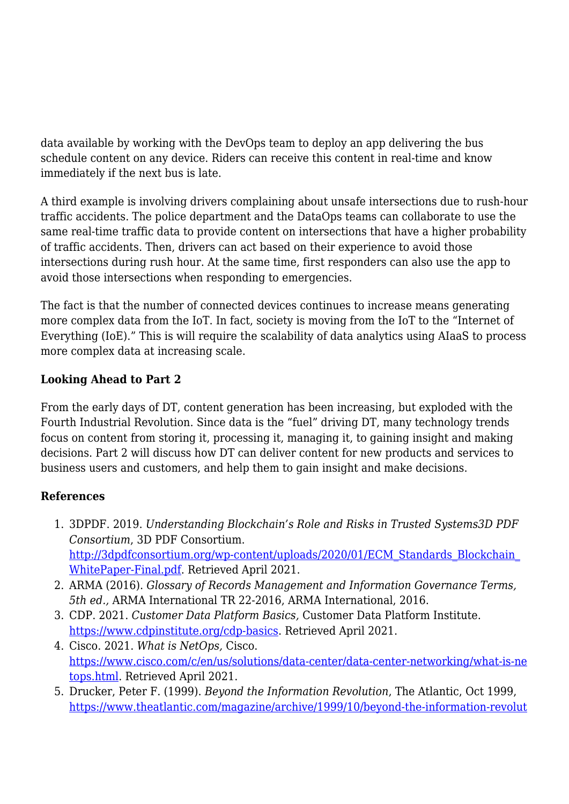data available by working with the DevOps team to deploy an app delivering the bus schedule content on any device. Riders can receive this content in real-time and know immediately if the next bus is late.

A third example is involving drivers complaining about unsafe intersections due to rush-hour traffic accidents. The police department and the DataOps teams can collaborate to use the same real-time traffic data to provide content on intersections that have a higher probability of traffic accidents. Then, drivers can act based on their experience to avoid those intersections during rush hour. At the same time, first responders can also use the app to avoid those intersections when responding to emergencies.

The fact is that the number of connected devices continues to increase means generating more complex data from the IoT. In fact, society is moving from the IoT to the "Internet of Everything (IoE)." This is will require the scalability of data analytics using AIaaS to process more complex data at increasing scale.

## **Looking Ahead to Part 2**

From the early days of DT, content generation has been increasing, but exploded with the Fourth Industrial Revolution. Since data is the "fuel" driving DT, many technology trends focus on content from storing it, processing it, managing it, to gaining insight and making decisions. Part 2 will discuss how DT can deliver content for new products and services to business users and customers, and help them to gain insight and make decisions.

## **References**

- 1. 3DPDF. 2019. *Understanding Blockchain's Role and Risks in Trusted Systems3D PDF Consortium*, 3D PDF Consortium. [http://3dpdfconsortium.org/wp-content/uploads/2020/01/ECM\\_Standards\\_Blockchain\\_](http://3dpdfconsortium.org/wp-content/uploads/2020/01/ECM_Standards_Blockchain_WhitePaper-Final.pdf) [WhitePaper-Final.pdf.](http://3dpdfconsortium.org/wp-content/uploads/2020/01/ECM_Standards_Blockchain_WhitePaper-Final.pdf) Retrieved April 2021.
- 2. ARMA (2016). *Glossary of Records Management and Information Governance Terms, 5th ed.,* ARMA International TR 22-2016, ARMA International, 2016.
- 3. CDP. 2021. *Customer Data Platform Basics,* Customer Data Platform Institute. <https://www.cdpinstitute.org/cdp-basics>. Retrieved April 2021.
- 4. Cisco. 2021. *What is NetOps,* Cisco. [https://www.cisco.com/c/en/us/solutions/data-center/data-center-networking/what-is-ne](https://www.cisco.com/c/en/us/solutions/data-center/data-center-networking/what-is-netops.html) [tops.html](https://www.cisco.com/c/en/us/solutions/data-center/data-center-networking/what-is-netops.html). Retrieved April 2021.
- 5. Drucker, Peter F. (1999). *Beyond the Information Revolution*, The Atlantic, Oct 1999, [https://www.theatlantic.com/magazine/archive/1999/10/beyond-the-information-revolut](https://www.theatlantic.com/magazine/archive/1999/10/beyond-the-information-revolution/304658/)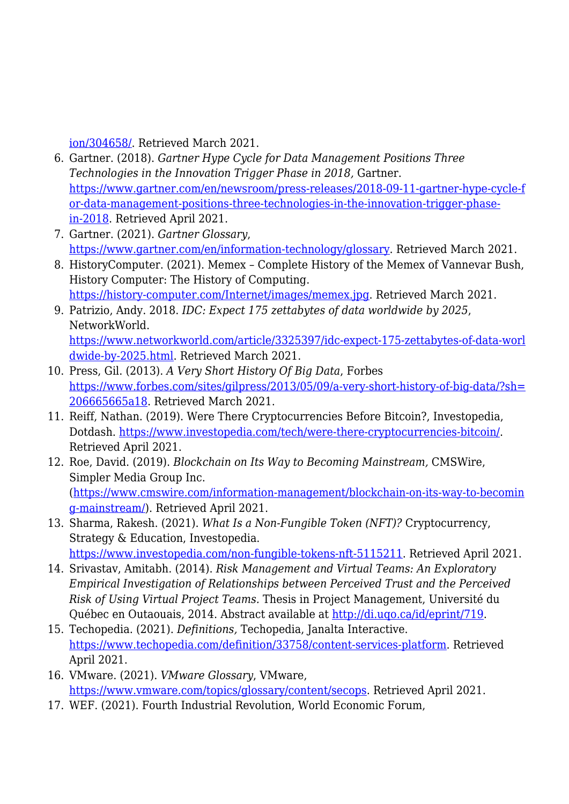[ion/304658/.](https://www.theatlantic.com/magazine/archive/1999/10/beyond-the-information-revolution/304658/) Retrieved March 2021.

- 6. Gartner. (2018). *Gartner Hype Cycle for Data Management Positions Three Technologies in the Innovation Trigger Phase in 2018,* Gartner. [https://www.gartner.com/en/newsroom/press-releases/2018-09-11-gartner-hype-cycle-f](https://www.gartner.com/en/newsroom/press-releases/2018-09-11-gartner-hype-cycle-for-data-management-positions-three-technologies-in-the-innovation-trigger-phase-in-2018) [or-data-management-positions-three-technologies-in-the-innovation-trigger-phase](https://www.gartner.com/en/newsroom/press-releases/2018-09-11-gartner-hype-cycle-for-data-management-positions-three-technologies-in-the-innovation-trigger-phase-in-2018)[in-2018](https://www.gartner.com/en/newsroom/press-releases/2018-09-11-gartner-hype-cycle-for-data-management-positions-three-technologies-in-the-innovation-trigger-phase-in-2018). Retrieved April 2021.
- 7. Gartner. (2021). *Gartner Glossary*, [https://www.gartner.com/en/information-technology/glossary.](https://www.gartner.com/en/information-technology/glossary) Retrieved March 2021.
- 8. HistoryComputer. (2021). Memex Complete History of the Memex of Vannevar Bush, History Computer: The History of Computing. <https://history-computer.com/Internet/images/memex.jpg>. Retrieved March 2021.
- 9. Patrizio, Andy. 2018. *IDC: Expect 175 zettabytes of data worldwide by 2025*, NetworkWorld. [https://www.networkworld.com/article/3325397/idc-expect-175-zettabytes-of-data-worl](https://www.networkworld.com/article/3325397/idc-expect-175-zettabytes-of-data-worldwide-by-2025.html) [dwide-by-2025.html.](https://www.networkworld.com/article/3325397/idc-expect-175-zettabytes-of-data-worldwide-by-2025.html) Retrieved March 2021.
- 10. Press, Gil. (2013). *A Very Short History Of Big Data*, Forbes [https://www.forbes.com/sites/gilpress/2013/05/09/a-very-short-history-of-big-data/?sh=](https://www.forbes.com/sites/gilpress/2013/05/09/a-very-short-history-of-big-data/?sh=206665665a18) [206665665a18](https://www.forbes.com/sites/gilpress/2013/05/09/a-very-short-history-of-big-data/?sh=206665665a18). Retrieved March 2021.
- 11. Reiff, Nathan. (2019). Were There Cryptocurrencies Before Bitcoin?, Investopedia, Dotdash. <https://www.investopedia.com/tech/were-there-cryptocurrencies-bitcoin/>. Retrieved April 2021.
- 12. Roe, David. (2019). *Blockchain on Its Way to Becoming Mainstream,* CMSWire, Simpler Media Group Inc. ([https://www.cmswire.com/information-management/blockchain-on-its-way-to-becomin](https://www.cmswire.com/information-management/blockchain-on-its-way-to-becoming-mainstream/) [g-mainstream/\)](https://www.cmswire.com/information-management/blockchain-on-its-way-to-becoming-mainstream/). Retrieved April 2021.
- 13. Sharma, Rakesh. (2021). *What Is a Non-Fungible Token (NFT)?* Cryptocurrency, Strategy & Education, Investopedia.

[https://www.investopedia.com/non-fungible-tokens-nft-5115211.](https://www.investopedia.com/non-fungible-tokens-nft-5115211) Retrieved April 2021.

- 14. Srivastav, Amitabh. (2014). *Risk Management and Virtual Teams: An Exploratory Empirical Investigation of Relationships between Perceived Trust and the Perceived Risk of Using Virtual Project Teams.* Thesis in Project Management, Université du Québec en Outaouais, 2014. Abstract available at <http://di.uqo.ca/id/eprint/719>.
- 15. Techopedia. (2021). *Definitions,* Techopedia, Janalta Interactive. <https://www.techopedia.com/definition/33758/content-services-platform>. Retrieved April 2021.
- 16. VMware. (2021). *VMware Glossary*, VMware, [https://www.vmware.com/topics/glossary/content/secops.](https://www.vmware.com/topics/glossary/content/secops) Retrieved April 2021.
- 17. WEF. (2021). Fourth Industrial Revolution, World Economic Forum,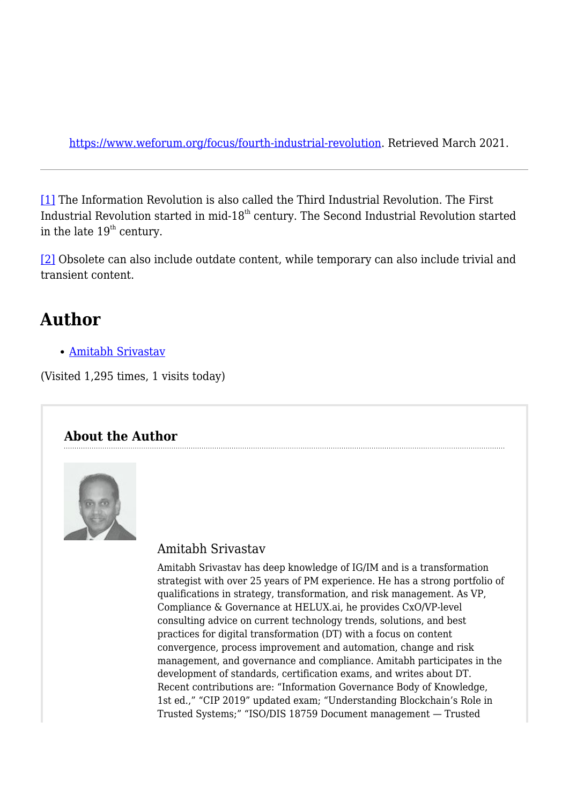<https://www.weforum.org/focus/fourth-industrial-revolution>. Retrieved March 2021.

[\[1\]](#page--1-0) The Information Revolution is also called the Third Industrial Revolution. The First Industrial Revolution started in mid- $18<sup>th</sup>$  century. The Second Industrial Revolution started in the late  $19<sup>th</sup>$  century.

[\[2\]](#page--1-0) Obsolete can also include outdate content, while temporary can also include trivial and transient content.

# **Author**

[Amitabh Srivastav](https://magazine.arma.org/author/asrivastav/)

(Visited 1,295 times, 1 visits today)

# **About the Author**



## Amitabh Srivastav

Amitabh Srivastav has deep knowledge of IG/IM and is a transformation strategist with over 25 years of PM experience. He has a strong portfolio of qualifications in strategy, transformation, and risk management. As VP, Compliance & Governance at HELUX.ai, he provides CxO/VP-level consulting advice on current technology trends, solutions, and best practices for digital transformation (DT) with a focus on content convergence, process improvement and automation, change and risk management, and governance and compliance. Amitabh participates in the development of standards, certification exams, and writes about DT. Recent contributions are: "Information Governance Body of Knowledge, 1st ed.," "CIP 2019" updated exam; "Understanding Blockchain's Role in Trusted Systems;" "ISO/DIS 18759 Document management — Trusted